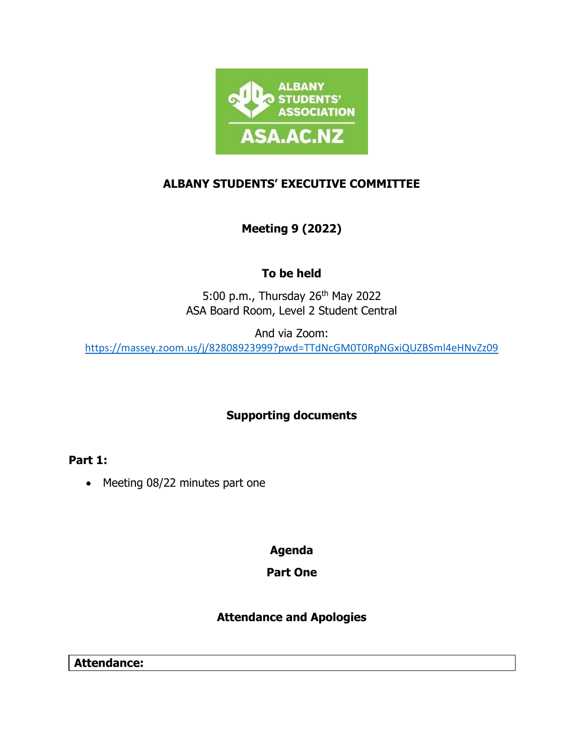

## **ALBANY STUDENTS' EXECUTIVE COMMITTEE**

# **Meeting 9 (2022)**

# **To be held**

5:00 p.m., Thursday 26<sup>th</sup> May 2022 ASA Board Room, Level 2 Student Central

And via Zoom:

<https://massey.zoom.us/j/82808923999?pwd=TTdNcGM0T0RpNGxiQUZBSml4eHNvZz09>

## **Supporting documents**

**Part 1:**

• Meeting 08/22 minutes part one

**Agenda**

## **Part One**

## **Attendance and Apologies**

**Attendance:**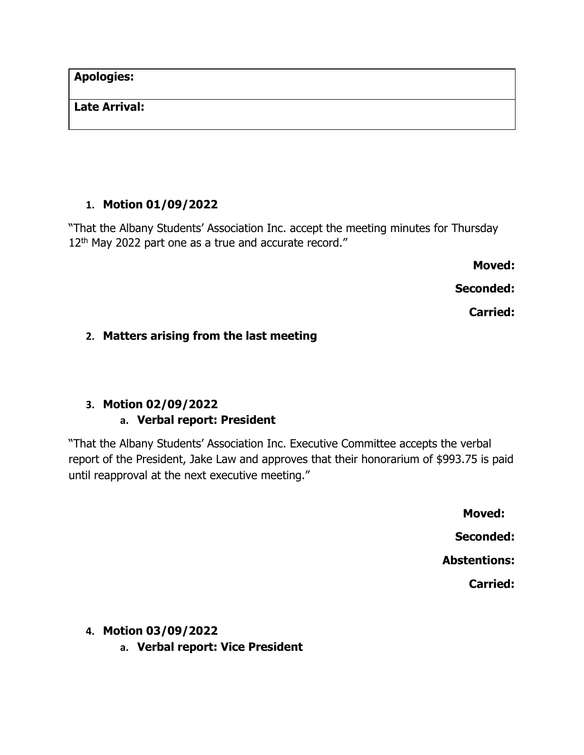**Apologies:** 

#### **Late Arrival:**

#### **1. Motion 01/09/2022**

"That the Albany Students' Association Inc. accept the meeting minutes for Thursday 12<sup>th</sup> May 2022 part one as a true and accurate record."

**Moved:** 

**Seconded:** 

**Carried:** 

#### **2. Matters arising from the last meeting**

## **3. Motion 02/09/2022**

#### **a. Verbal report: President**

"That the Albany Students' Association Inc. Executive Committee accepts the verbal report of the President, Jake Law and approves that their honorarium of \$993.75 is paid until reapproval at the next executive meeting."

> **Moved: Seconded: Abstentions: Carried:**

**4. Motion 03/09/2022**

**a. Verbal report: Vice President**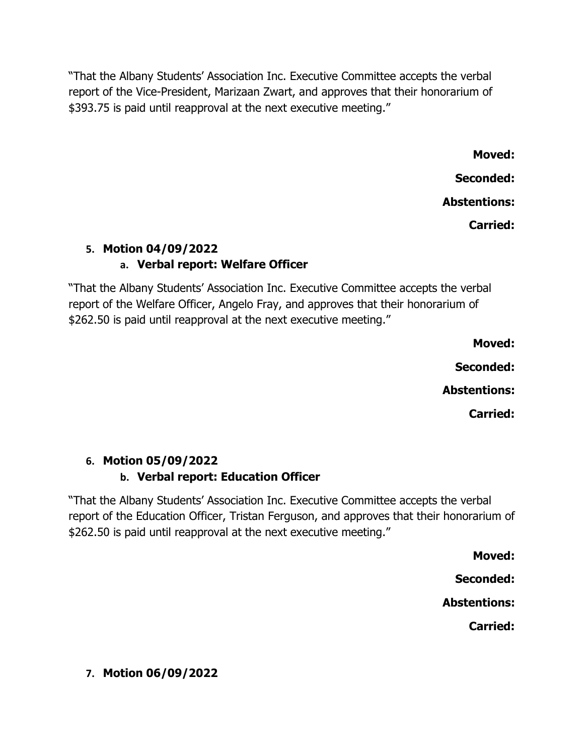"That the Albany Students' Association Inc. Executive Committee accepts the verbal report of the Vice-President, Marizaan Zwart, and approves that their honorarium of \$393.75 is paid until reapproval at the next executive meeting."

> **Moved: Seconded: Abstentions: Carried:**

# **5. Motion 04/09/2022 a. Verbal report: Welfare Officer**

"That the Albany Students' Association Inc. Executive Committee accepts the verbal report of the Welfare Officer, Angelo Fray, and approves that their honorarium of \$262.50 is paid until reapproval at the next executive meeting."

> **Moved: Seconded: Abstentions:**

**Carried:**

# **6. Motion 05/09/2022**

# **b. Verbal report: Education Officer**

"That the Albany Students' Association Inc. Executive Committee accepts the verbal report of the Education Officer, Tristan Ferguson, and approves that their honorarium of \$262.50 is paid until reapproval at the next executive meeting."

**Moved:**

**Seconded:**

**Abstentions:**

**Carried:**

# **7. Motion 06/09/2022**